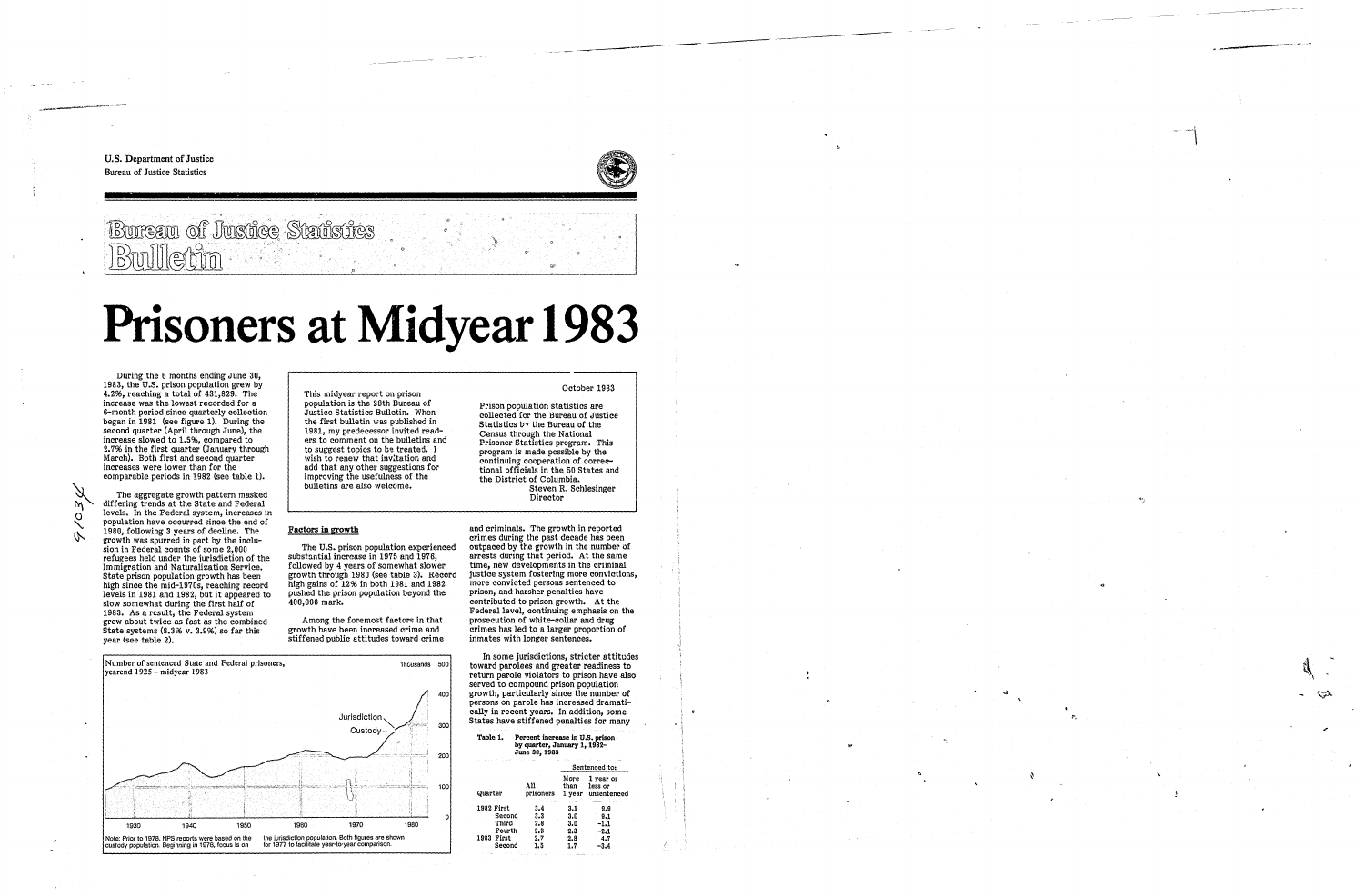U.S. Department of Justice **Bureau of Justice Statistics** 



## **Bureau of Justice Statistics** Bulletin

# Prisoners at Midyear 1983

During the 6 months ending June 30. 1983, the U.S. prison population grew by  $4.2\%$ , reaching a total of  $431,829$ . The increase was the lowest recorded for a 6-month period since quarterly collection began in 1981 (see figure 1). During the second quarter (April through June), the increase slowed to 1.5%, compared to 2.7% in the first quarter (January through March). Both first and second quarter increases were lower than for the comparable periods in 1982 (see table 1).

The aggregate growth pattern masked differing trends at the State and Federal levels. In the Federal system, increases in population have occurred since the end of 1980, following 3 years of decline. The growth was spurred in part by the inclusion in Federal counts of some 2,000 refugees held under the jurisdiction of the Immigration and Naturalization Service. State prison population growth has been high since the mid-1970s, reaching record levels in 1981 and 1982, but it appeared to slow somewhat during the first half of 1983. As a result, the Federal system grew about twice as fast as the combined State systems  $(8.3\% \text{ v. } 3.9\%)$  so far this year (see table 2).

This midyear report on prison population is the 28th Bureau of Justice Statistics Bulletin. When the first bulletin was published in 1981, my predecessor invited readers to comment on the bulletins and to suggest topics to be treated. I wish to renew that invitation and add that any other suggestions for improving the usefulness of the bulletins are also welcome.

### **Factors in growth**

The U.S. prison population experienced substantial increase in 1975 and 1976, followed by 4 years of somewhat slower growth through 1980 (see table 3). Record high gains of  $12\%$  in both 1981 and 1982 pushed the prison population beyond the 400,000 mark.

Among the foremost factors in that growth have been increased crime and stiffened public attitudes toward crime



Prison population statistics are collected for the Bureau of Justice Statistics by the Bureau of the Census through the National Prisoner Statistics program. This program is made possible by the continuing cooperation of correctional officials in the 50 States and the District of Columbia. Steven R. Schlesinger Director

and criminals. The growth in reported crimes during the past decade has been outpaced by the growth in the number of arrests during that period. At the same time, new developments in the criminal justice system fostering more convictions, more convicted persons sentenced to prison, and harsher penalties have contributed to prison growth. At the Federal level, continuing emphasis on the prosecution of white-collar and drug crimes has led to a larger proportion of inmates with longer sentences.

In some jurisdictions, stricter attitudes toward parolees and greater readiness to return parole violators to prison have also served to compound prison population growth, particularly since the number of persons on parole has increased dramatically in recent years. In addition, some States have stiffened penalties for many

| Table 1.<br>Percent increase in U.S. prison<br>by quarter, January 1, 1982-<br>June 30, 1983<br>ti sa<br><b>Contract Contract</b> |                          |                          |                                            |  |  |
|-----------------------------------------------------------------------------------------------------------------------------------|--------------------------|--------------------------|--------------------------------------------|--|--|
|                                                                                                                                   |                          | Sentenced to:            |                                            |  |  |
| Quarter                                                                                                                           | All<br>prisoners         | More<br>than             | 1 year or<br>less or<br>1 year unsentenced |  |  |
| 1982 First<br>Second<br>Third<br>Fourth                                                                                           | 3.4<br>3.3<br>2.8<br>2.2 | 3.1<br>3.0<br>3.0<br>2.3 | 9.9<br>9.1<br>$-1.1$<br>$-2.1$             |  |  |
| First<br>1983<br>Second                                                                                                           | 2.7<br>1.5               | 2.8<br>1.7               | 4.7<br>$-3.4$                              |  |  |



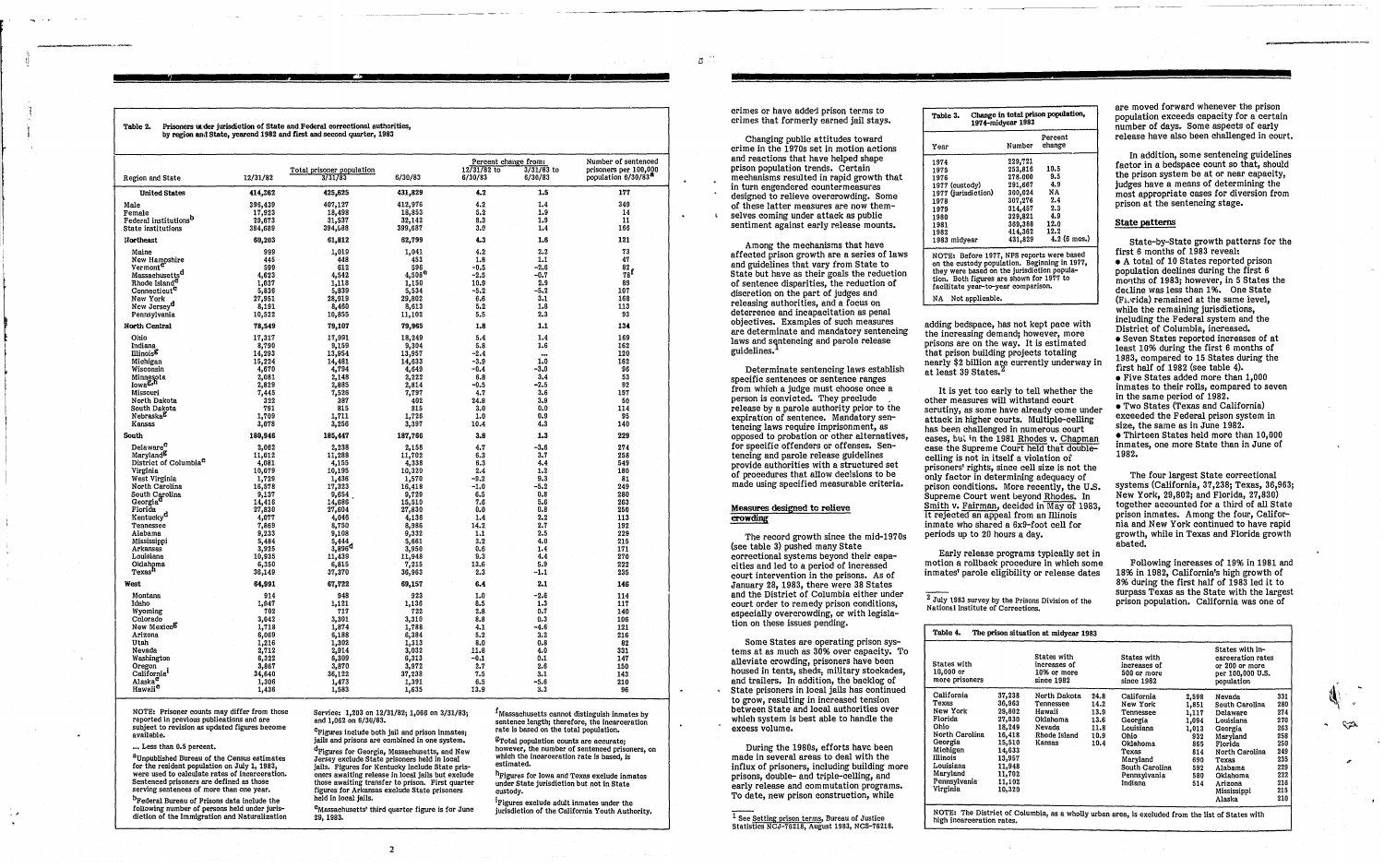Table 2. Prisoners under jurisdiction of State and Federal correctional authorities. by region and State, vearend 1982 and first and second quarter, 1983

|                                                            |                 |                             |                 | Percent change from: |              | Number of sentenced             |
|------------------------------------------------------------|-----------------|-----------------------------|-----------------|----------------------|--------------|---------------------------------|
|                                                            |                 | Total prisoner population   |                 | $12/31/82$ to        | $3/31/83$ to | prisoners per 100,000           |
| Region and State                                           | 12/31/82        | 3/31/83                     | 6/30/83         | 6/30/83              | 6/30/83      | population 6/30/83 <sup>8</sup> |
| <b>United States</b>                                       | 414,362         | 425,625                     | 431,829         | 4.2                  | 1.5          | 177                             |
| Male                                                       | 396,439         | 407,127                     | 412,976         | 4,2                  | 1.4          | 349                             |
| Female                                                     | 17,923          | 18,498                      | 18,853          | 5.2                  | 1.9          | 14                              |
| Federal institutions <sup>b</sup>                          | 29,673          | 31,537                      | 32,142          | 8,3                  | 1.9          | 11                              |
| State institutions                                         | 384,689         | 394,688                     | 399,687         | 3.9                  | 1.4          | 166                             |
| Northeast                                                  | 60,203          | 61,812                      | 62,799          | 4.3                  | 1.6          | 121                             |
| Maine                                                      | 999             | 1,019                       | 1,041           | 4.2                  | 2.2          | 73                              |
|                                                            | 445             | 448                         | 453             | 1.8                  | 1.1          | 47                              |
| New Hampshire<br>Vermont                                   | 599             | 612                         | 596             | -0.5                 | $-2.6$       | $\frac{82}{78}$ f               |
| Massachusetts <sup>d</sup>                                 | 4,623           | 4,542                       | $4,508^{\rm e}$ | $-2.5$               | -0.7         |                                 |
| Rhode Island <sup>C</sup>                                  | 1,037           | 1,118                       | 1,150           | 10.9                 | 2.9          | 89                              |
| Connecticut <sup>c</sup>                                   | 5,836           | 5,839                       | 5,534           | $-5.2$               | $-5.2$       | 107                             |
| New York                                                   | 27,951          | 28,919                      | 29,802<br>8,613 | 6.6                  | 3.1<br>1.8   | 168                             |
| New Jersey <sup>d</sup><br>Pennsylvania                    | 8,191<br>10,522 | 8,460<br>10,855             | 11,102          | 5.2<br>5.5           | 2.3          | 113<br>93                       |
| North Central                                              |                 |                             |                 | 1.8                  | 1.1          | 134                             |
|                                                            | 78,549          | 79,107                      | 79,965          |                      |              |                                 |
| O'nio<br>Indiana                                           | 17,317<br>8,790 | 17,991<br>9,159             | 18,249<br>9,304 | 5.4<br>5.8           | 1.4<br>1.6   | 169<br>162                      |
| <b>Illinois<sup>g</sup></b>                                | 14,293          | 13,954                      | 13,957          | $-2.4$               |              | 120                             |
| Michigan                                                   | 15,224          | 14,481                      | 14,633          | $-3.9$               | <br>1.0      | 162                             |
| Wisconsin                                                  | 4,670           | 4,794                       | 4,649           | -0.4                 | -3.0         | 96                              |
|                                                            | 2,081           | 2,148                       | 2,222           | 6.8                  | 3,4          | 53                              |
| Minnesota<br>Iowa <sup>g,h</sup>                           | 2,829           | 2,885                       | 2,814           | -0.5                 | -2.5         | 92                              |
| Missouri                                                   | 7,445           | 7,526                       | 7,797           | 4.7                  | 3.6          | 157                             |
| North Dakota                                               | 322             | 387                         | 402             | 24.8                 | 3.9          | 50                              |
| South Dakota                                               | 791             | 815                         | 315             | 3.0                  | 0.0          | 114                             |
| Nebraskab                                                  | 1,709           | 1,711                       | 1,726           | 1.0                  | 0.9          | 95                              |
| Kansas                                                     | 3,078           | 3,256                       | 3,397           | 10.4                 | 4.3          | 140                             |
| South                                                      | 180,946         | 185,447                     | 187,766         | 3.8                  | 1.3          | 229                             |
| Delaware <sup>c</sup>                                      | 2,062           | 2,238                       | 2,158           | 4.7                  | -3.6         | 274                             |
| Maryland <sup>8</sup><br>District of Columbia <sup>C</sup> | 11,012          | 11,288                      | 11,702          | 6.3                  | 3.7          | 258                             |
| Virginia                                                   | 4,081<br>10,079 | 4,155<br>10,195             | 4,338<br>10,320 | 6.3<br>2.4           | 4.4<br>1.2   | 549<br>180                      |
| West Virginia                                              | 1,729           | 1,436                       | 1,570           | -9.2                 | 9.3          | 81                              |
| North Carolina                                             | 16,578          | 17,323                      | 16,418          | -1.0                 | -5.2         | 249                             |
| South Carolina                                             | 9,137           | 9,654                       | 9,729           | 6.5                  | 0.8          | 280                             |
| Georgia <sup>d</sup>                                       | 14,416          | 14,686                      | 15,510          | 7.6                  | 5.6          | 263                             |
| Florida                                                    | 27,830          | 27,604                      | 27,830          | 0.0                  | 0.8          | 250                             |
| Kentucky <sup>d</sup>                                      | 4,077           | 4,046                       | 4,136           | 1.4                  | 2.2          | 113                             |
| Tennessee                                                  | 7,869           | 8,750                       | 8,986           | 14.2                 | 2.7          | 192                             |
| Alabama                                                    | 9,233           | 9,108                       | 9,332           | 1.1                  | 2.5          | 229                             |
| Mississippi                                                | 5,484           | 5,444<br>3,896 <sup>d</sup> | 5,661           | 3,2                  | 4.0          | 215                             |
| Arkansas<br>Louisiana                                      | 3,925<br>10,935 | 11,439                      | 3,950<br>11,948 | 0.6<br>9.3           | 1.4<br>4.4   | 171<br>270                      |
| Oklahoma                                                   | 6,350           | 6,815                       | 7,215           | 13,6                 | 5.9          | 222                             |
| Texas <sup>h</sup>                                         | 36,149          | 37,370                      | 36,963          | 2.3                  | -1.1         | 235                             |
| West                                                       | 64,991          | 67,722                      | 69,157          | 6.4                  | 2.1          | 146                             |
| Montana                                                    | 914             | 948                         | 923             | 1.0                  | $-2.6$       | 114                             |
| Idaho                                                      | 1,047           | 1,121                       | 1,136           | 8.5                  | 1.3          | 117                             |
| Wyoming                                                    | 702             | 717                         | 722             | 2.8                  | 0.7          | 140                             |
| Colorado                                                   | 3,042           | 3,301                       | 3,310           | 8.8                  | 0.3          | 106                             |
| New Mexico <sup>g</sup><br>Arizona                         | 1,718<br>6,069  | 1,874                       | 1,788           | 4.1                  | -4.6         | 121                             |
| Utah                                                       | 1,216           | 6,188<br>1,302              | 6,384<br>1,313  | 5.2<br>8.0           | 3.2<br>0.8   | 216<br>82                       |
| Nevada                                                     | 2,712           | 2,914                       | 3,032           | 11.8                 | 4.0          | 331                             |
| Washington                                                 | 6,322           | 6,309                       | 6,313           | -0.1                 | 0.1          | 147                             |
| Oregon                                                     | 3,867           | 3,870                       | 3,972           | 2.7                  | 2.6          | 150                             |
| California                                                 | 34,640          | 36,122                      | 37,238          | 7.5                  | 3.1          | 143                             |
| Alaska <sup>c</sup><br>Hawaii <sup>c</sup>                 | 1,306           | 1,473                       | 1,391           | 6.5                  | -5.6         | 210                             |
|                                                            | 1,436           | 1,583                       | 1,635           | 13.9                 | 3.3          | 96                              |

NOTE: Prisoner counts may differ from those reported in previous publications and are subject to revision as updated figures become available.

... Less than 0.5 percent.

 ${}^{\underline{a}}$  Unpublished Bureau of the Census estimates on the resident population on July 1, 1983,<br>were used to calculate rates of incarceration. Sentenced prisoners are defined as those serving sentences of more than one year.

<sup>b</sup>Federal Bureau of Prisons data include the following number of persons held under jurisdiction of the Immigration and Naturalization Service: 1,203 on 12/31/82; 1,066 on 3/31/83; and 1.062 on 6/30/83.

<sup>c</sup>Figures include both jail and prison inmates; jails and prisons are combined in one system.

<sup>d</sup>Figures for Georgia, Massachusetts, and New Jersey exclude State prisoners held in local jails. Figures for Kentucky include State prisoners awaiting release in local jails but exclude those awaiting transfer to prison. First quarter figures for Arkansas exclude State prisoners held in local jails.

<sup>e</sup>Massachusetts' third quarter figure is for June 29, 1983.

 $\overline{2}$ 

<sup>I</sup>Massachusetts cannot distinguish inmates by sentence length; therefore, the incarceration rate is based on the total population.

<sup>g</sup>Total population counts are accurate; however, the number of sentenced prisoners, on which the incarceration rate is based, is estimated.

<sup>h</sup>Figures for Iowa and Texas exclude inmates under State jurisdiction but not in State custody.

<sup>1</sup>Figures exclude adult inmates under the jurisdiction of the California Youth Authority.

crimes or have added prison terms to crimes that formerly earned jail stays.

Changing public attitudes toward crime in the 1970s set in motion actions and reactions that have helped shape prison population trends. Certain mechanisms resulted in rapid growth that in turn engendered countermeasures designed to relieve overcrowding. Some of these latter measures are now themselves coming under attack as public sentiment against early release mounts.

Among the mechanisms that have affected prison growth are a series of laws and guidelines that vary from State to State but have as their goals the reduction of sentence disparities, the reduction of discretion on the part of judges and releasing authorities, and a focus on deterrence and incapacitation as penal objectives. Examples of such measures are determinate and mandatory sentencing laws and sentencing and parole release guidelines. $^1$ 

Determinate sentencing laws establish specific sentences or sentence ranges from which a judge must choose once a person is convicted. They preclude release by a parole authority prior to the expiration of sentence. Mandatory sentencing laws require imprisonment, as opposed to probation or other alternatives, for specific offenders or offenses. Sentencing and parole release guidelines provide authorities with a structured set of procedures that allow decisions to be made using specified measurable criteria.

#### Measures designed to relieve crowding

The record growth since the mid-1970s (see table 3) pushed many State correctional systems beyond their capacities and led to a period of increased court intervention in the prisons. As of January 28, 1983, there were 38 States and the District of Columbia either under court order to remedy prison conditions, especially overcrowding, or with legislation on these issues pending.

Some States are operating prison systems at as much as 30% over capacity. To alleviate crowding, prisoners have been housed in tents, sheds, military stockades, and trailers. In addition, the backlog of State prisoners in local jails has continued to grow, resulting in increased tension between State and local authorities over which system is best able to handle the excess volume.

During the 1980s, efforts have been made in several areas to deal with the influx of prisoners, including building more prisons, double- and triple-celling, and early release and commutation programs. To date, new prison construction, while

1<br>
See Setting prison terms, Bureau of Justice<br>
Statistics NCJ-76218, August 1983, NCS-76218.

| Change in total prison population,<br>Table 3.<br>1974-midyear 1983                                                                                                                                                          |         |                       |  |  |  |
|------------------------------------------------------------------------------------------------------------------------------------------------------------------------------------------------------------------------------|---------|-----------------------|--|--|--|
| Percent                                                                                                                                                                                                                      |         |                       |  |  |  |
| Year                                                                                                                                                                                                                         | Number  | change                |  |  |  |
| 1974                                                                                                                                                                                                                         | 229,721 |                       |  |  |  |
| 1975                                                                                                                                                                                                                         | 253,816 | 10.5                  |  |  |  |
| 1976                                                                                                                                                                                                                         | 278.000 | 9.5                   |  |  |  |
| 1977 (custody)                                                                                                                                                                                                               | 291,667 | -4.9                  |  |  |  |
| 1977 (jurisdiction)                                                                                                                                                                                                          | 300,024 | NA.                   |  |  |  |
| 1978                                                                                                                                                                                                                         | 307,276 | 2.4                   |  |  |  |
| 1979                                                                                                                                                                                                                         | 314,457 | 2.3                   |  |  |  |
| 1980                                                                                                                                                                                                                         | 329,821 | 4.9                   |  |  |  |
| 1981                                                                                                                                                                                                                         | 369,388 | 12.0                  |  |  |  |
| 1982                                                                                                                                                                                                                         | 414,362 | 12.2                  |  |  |  |
| 1983 midyear                                                                                                                                                                                                                 | 431,829 | $4.2(6 \text{ mos.})$ |  |  |  |
| NOTE: Before 1977, NPS reports were based<br>on the custody population. Beginning in 1977,<br>they were based on the jurisdiction popula-<br>tion. Both figures are shown for 1977 to<br>facilitate year-to-year comparison. |         |                       |  |  |  |
| NA Not applicable.                                                                                                                                                                                                           |         |                       |  |  |  |
|                                                                                                                                                                                                                              |         |                       |  |  |  |

adding bedspace, has not kept pace with the increasing demand; however, more prisons are on the way. It is estimated that prison building projects totaling nearly \$2 billion are currently underway in at least 39 States.<sup>2</sup>

It is yet too early to tell whether the other measures will withstand court scrutiny, as some have already come under attack in higher courts. Multiple-celling has been challenged in numerous court cases, but in the 1981 Rhodes v. Chapman case the Supreme Court held that doublecelling is not in itself a violation of prisoners' rights, since cell size is not the only factor in determining adequacy of prison conditions. More recently, the U.S. Supreme Court went beyond Rhodes. In Smith v. Fairman, decided in May of 1983, it rejected an appeal from an Illinois inmate who shared a 6x9-foot cell for periods up to 20 hours a day.

Early release programs typically set in motion a rollback procedure in which some inmates' parole eligibility or release dates

 $2$  July 1983 survey by the Prisons Division of the National Institute of Corrections.

are moved forward whenever the prison population exceeds capacity for a certain number of days. Some aspects of early release have also been challenged in court.

In addition, some sentencing guidelines factor in a bedspace count so that, should the prison system be at or near capacity. judges have a means of determining the most appropriate cases for diversion from prison at the sentencing stage.

#### State patterns

State-by-State growth patterns for the first 6 months of 1983 reveal: • A total of 10 States reported prison population declines during the first 6 months of 1983; however, in 5 States the decline was less than 1%. One State (Fi. rida) remained at the same level. while the remaining jurisdictions. including the Federal system and the District of Columbia, increased. • Seven States reported increases of at least 10% during the first 6 months of 1983, compared to 15 States during the fürst half of 1982 (see table 4). • Five States added more than 1,000 inmates to their rolls, compared to seven in the same period of 1982. • Two States (Texas and California) exceeded the Federal prison system in size, the same as in June 1982. • Thirteen States held more than 10.000 inmates, one more State than in June of 1982.

The four largest State correctional systems (California, 37,238; Texas, 36,963; New York, 29,802; and Florida, 27,830) together accounted for a third of all State prison inmates. Among the four, California and New York continued to have rapid growth, while in Texas and Florida growth abated.

Following increases of 19% in 1981 and 18% in 1982, California's high growth of 8% during the first half of 1983 led it to surpass Texas as the State with the largest prison population. California was one of

| Table 4.<br>The prison situation at midyear 1983                                                                                                             |                                                                                                                                |                                                                                     |                                                      |                                                                                                                                                   |                                                                                            |                                                                                                                                                                           |                                                                                                |
|--------------------------------------------------------------------------------------------------------------------------------------------------------------|--------------------------------------------------------------------------------------------------------------------------------|-------------------------------------------------------------------------------------|------------------------------------------------------|---------------------------------------------------------------------------------------------------------------------------------------------------|--------------------------------------------------------------------------------------------|---------------------------------------------------------------------------------------------------------------------------------------------------------------------------|------------------------------------------------------------------------------------------------|
| States with<br>$10,000$ or<br>more prisoners                                                                                                                 |                                                                                                                                | States with<br>increases of<br>10% or more<br>since 1982                            |                                                      | States with<br>increases of<br>500 or more<br>since 1982                                                                                          |                                                                                            | States with in-<br>carceration rates<br>or 200 or more<br>per 100,000 U.S.<br>population                                                                                  |                                                                                                |
| California<br>Texas<br>New York<br>Florida<br>Ohio<br>North Carolina<br>Georgia<br>Michigan<br>Illinois<br>Louisiana<br>Maryland<br>Pennsylvania<br>Virginia | 37,238<br>36,963<br>29,802<br>27,830<br>18,249<br>16,418<br>15,510<br>14,633<br>13,957<br>11.948<br>11,702<br>11,102<br>10,320 | North Dakota<br>Tennessee<br>Hawaii<br>Oklahoma<br>Nevada<br>Rhode Island<br>Kansas | 24.8<br>14.2<br>13.9<br>13.6<br>11.8<br>10.9<br>10.4 | California<br>New York<br>Tennessee<br>Georgia<br>Louisiana<br>Ohio<br>Oklahoma<br>Texas<br>Marvland<br>South Carolina<br>Pennsylvania<br>Indiana | 2,598<br>1,851<br>1,117<br>1,094<br>1.013<br>932<br>865<br>814<br>690<br>592<br>580<br>514 | Nevada<br>South Carolina<br>Delaware<br>Louisiana<br>Georgia<br>Maryland<br>Florida<br>North Carolina<br>Texas<br>Alabama<br>Oklahoma<br>Arizona<br>Mississippi<br>Alaska | 331<br>280<br>274<br>270<br>263<br>258<br>250<br>249<br>235<br>229<br>222<br>216<br>215<br>210 |

NOTE: The District of Columbia, as a wholly urban area, is excluded from the list of States with high incarceration rates.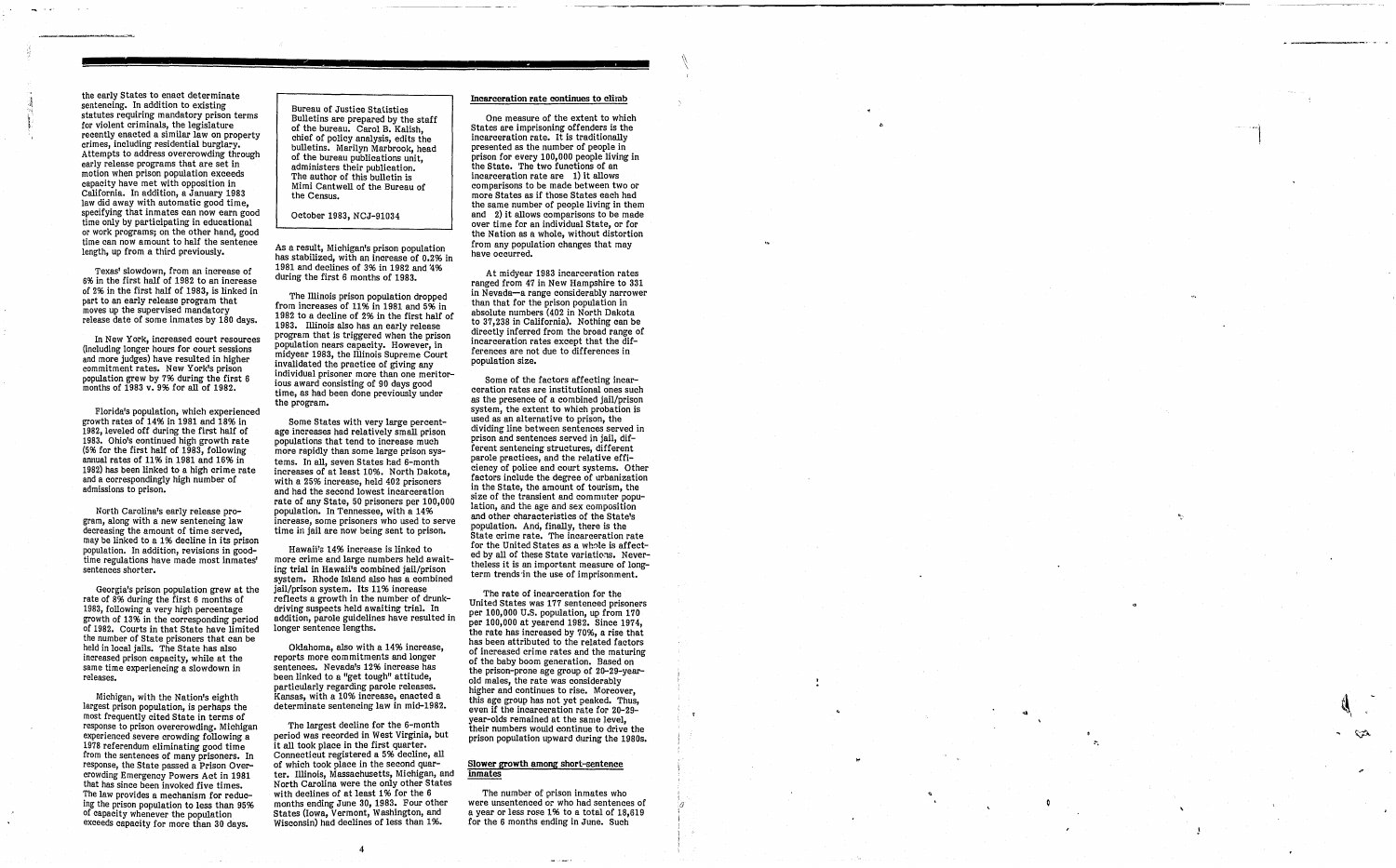the early states to enact determinate sentencing. In addition to existing statutes requiring mandatory prison terms for violent criminals, the legislature recently enacted a similar law on property crimes, including residential burglary. Attempts to address overcrowding through early release programs that are set in motion when prison population exceeds capacity have met with opposition in California. In addition, a January 1983 law did away with automatic good time,<br>specifying that inmates can now earn good time only by participating in educational 0; work programs; on the other hand, good time can now amount to half the sentence length, up from a third previously.

Texas' slowdown, from an increase of 6% in the first half of 1982 to an increase of 2% in the first half of 1983, is linked in part to an early release program that moves up the supervised mandatory release date of some inmates by 180 days.

In New York, increased court resources (including longer hours for court sessions and more judges) have resulted in higher commitment rates. New York's prison population grew by 7% during the first 6 months of 1983 v. 9% for all of 1982.

Florida's population, which experienced growth rates of 14% in 1981 and 18% in 1982, leveled off during the first half of 1983. Ohio's continued high growth rate (5% for the first half of 1983, following annual rates of 11% in 1981 and 16% in 1982) has been linked to a high crime rate and a correspondingly high number of admissions to prison.

North Carolina's early release program, along with a new sentencing law decreasing the amount of time served may be linked to a 1% decline in its prison population. In addition, revisions in goodtime regulations have made most inmates' sentences shorter.

The Illinois prison population dropped from Increases of 11% in 1981 and 5% in 1982 to a decline of 2% in the first half of 1983. Illinois also has an early release program that is triggered when the prison population nears capacity. However, in midvear 1983, the Illinois Supreme Court invalidated the practice of giving any individual prisoner more than one meritorious award consisting of 90 days good time, as had been done previously under the program.

Georgia's prison population grew at the rate of 8% during the first 6 months of 1983, following a very high percentage growth of 13% in the corresponding period of 1982. Courts in that State have limited the number of State prisoners that can be held in local jails. The State has also increased prison capacity, while at the same time experiencing a slowdown in releases.

Some States with very large percentage increases had relatively small prison populations that tend to increase much<br>more rapidly than some large prison systems. In all, seven States had 6-month increases of at least 10%. North Dakota with a 25% increase, held 402 prisoners and had the second lowest incarceration rate of any State, 50 prisoners per 100,000 population. In Tennessee, with a 14% increase, some prisoners who used to serve time in jail are now being sent to prison.

Hawaii's 14% increase is linked to more crime and large numbers held awaiting trial in Hawaii's combined jail/prison system. Rhode Island also has a combined jail/prison system. Its 11% increase reflects a growth in the number of drunkdriving suspects held awaiting trial. In addition, parole guidelines have resulted in longer sentence lengths.

Oklahoma, also with a 14% increase, reports more commitments and longer sentences. Nevada's 12% increase has been linked to a "get tough" attitude, particularly regarding parole releases. determinate sentencing law in mid-1982.

Michigan, with the Nation's eighth largest prison population, is perhaps the most frequently cited State in terms of response to prison overcrowding. Michigan experienced severe crowding following a 1978 referendum eliminating good time from the sentences of many prisoners. In response, the State passed a Prison OvercrOWding Emergency Powers Act in 1981 that has since been invoked five times. The law provides a mechanism for reducmg the prison population to less than 95% of capacity whenever the population exceeds capacity for more than 30 days.

Bureau of Justice Statistics Bulletins are prepared by the staff of the bureau. Carol B. Kalish chief of policy analysis, edits the bulletins. Marilyn Marbrook, head of the bureau publications unit administers their publication. ' The author of this bulletin is Mimi Cantwell of the Bureau of the Census.

October 1983, NCJ-91034

As a result, Michigan's prison population has stabilized, with an increase of 0.2% in 1981 and declines of 3% in 1982 and '4% during the first 6 months of 1983.

> Some of the factors affecting incar-<br>ceration rates are institutional ones such as the presence of a combined jail/prison system, the extent to which probation is used as an alternative to prison, the dividing line between sentences served in prison and sentences served in jail, different sentencing structures, different parole practices, and the relative efficiency of police and court systems. Other factors include the degree of urbanization in the State, the amount of tourism, the size of the transient and commuter population, and the age and sex composition and other characteristics of the State's population. And, finally, there is the State crime rate. The incarceration rate for the United States as a whole is affected by all of these State variations. Nevertheless it is an important measure of longterm trends'in the use of imprisonment.

The rate of incarceration for the United States was 177 sentenced prisoners per 100,000 U.S. population, up from 170 per 100,000 at yearend 1982. Since 1974 the rate has increased by 70%, a rise that has been attributed to the related factors of increased crime rates and the maturing<br>of the baby boom generation. Based on the prison-prone age group of 20-29-yearold males, the rate was considerably higher and continues to rise. Moreover, this age group has not yet peaked. Thus, even if the incarceration rate for 20-29-<br>year-olds remained at the same level. their numbers would continue to drive the prison population upward during the 1980s.

The number of prison inmates who<br>were unsentenced or who had sentences of<br>a year or less rose 1% to a total of 18,619 for the 6 months ending in June. Such

f. *o*  i

The largest decline for the 6-month period was recorded in west Virginia, but it all took place in the first quarter. Connecticut registered a 5% decline, all of which took 9lace in the second quarter. Illinois, Massachusetts, Michigan, and North Carolina were the only other States with declines of at least 1% for the 6 months ending June 30, 1983. Four other States (Iowa, Vermont, Washington, and Wisconsin) had declines of less than 1%.

4

#### Incarceration rate continues to climb

One measure of the extent to which States are imprisoning offenders is the incarceration rate. It is traditionally presented as the number of people in prison for every 100,000 people living in<br>the State. The two functions of an incarceration rate are  $1$ ) it allows<br>comparisons to be made between two or more States as if those States each had the same number of people living in them<br>and 2) it allows comparisons to be made over time for an individual State, or for the Nation as a whole, without distortion from any population changes that may have occurred.

At midyear 1983 incarceration rates ranged from 47 in New Hampshire to 331 in Nevada-a range considerably narrower than that for the prison population in absolute numbers (402 in North Dakota to 37,238 in California). Nothing can be directly inferred from the broad range of incarceration rates except that the differences are not due to differences in population size.

#### Slower growth among short-sentence inmates

'~

\



..